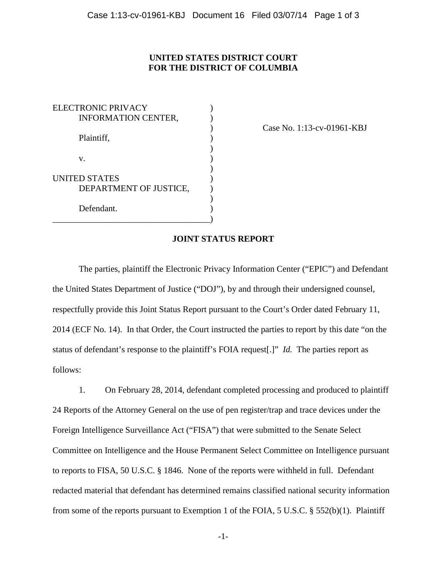## **UNITED STATES DISTRICT COURT FOR THE DISTRICT OF COLUMBIA**

ELECTRONIC PRIVACY (1997) INFORMATION CENTER, Plaintiff,  $\qquad \qquad$ ) )  $\mathbf{v}$ .  $)$ UNITED STATES ) DEPARTMENT OF JUSTICE, ) Defendant. \_\_\_\_\_\_\_\_\_\_\_\_\_\_\_\_\_\_\_\_\_\_\_\_\_\_\_\_\_\_\_\_\_\_\_\_)

) Case No. 1:13-cv-01961-KBJ

### **JOINT STATUS REPORT**

The parties, plaintiff the Electronic Privacy Information Center ("EPIC") and Defendant the United States Department of Justice ("DOJ"), by and through their undersigned counsel, respectfully provide this Joint Status Report pursuant to the Court's Order dated February 11, 2014 (ECF No. 14). In that Order, the Court instructed the parties to report by this date "on the status of defendant's response to the plaintiff's FOIA request[.]" *Id.* The parties report as follows:

1. On February 28, 2014, defendant completed processing and produced to plaintiff 24 Reports of the Attorney General on the use of pen register/trap and trace devices under the Foreign Intelligence Surveillance Act ("FISA") that were submitted to the Senate Select Committee on Intelligence and the House Permanent Select Committee on Intelligence pursuant to reports to FISA, 50 U.S.C. § 1846. None of the reports were withheld in full. Defendant redacted material that defendant has determined remains classified national security information from some of the reports pursuant to Exemption 1 of the FOIA, 5 U.S.C. § 552(b)(1). Plaintiff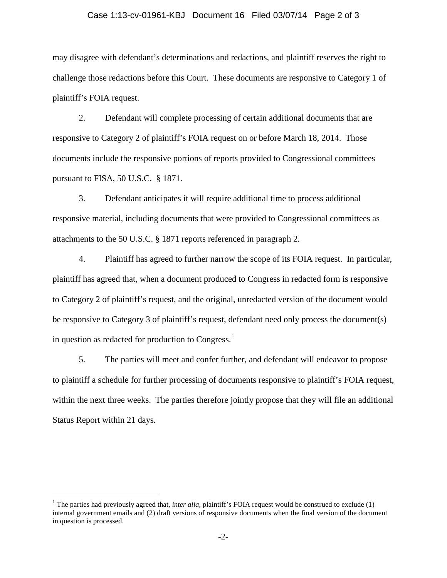#### Case 1:13-cv-01961-KBJ Document 16 Filed 03/07/14 Page 2 of 3

may disagree with defendant's determinations and redactions, and plaintiff reserves the right to challenge those redactions before this Court. These documents are responsive to Category 1 of plaintiff's FOIA request.

2. Defendant will complete processing of certain additional documents that are responsive to Category 2 of plaintiff's FOIA request on or before March 18, 2014. Those documents include the responsive portions of reports provided to Congressional committees pursuant to FISA, 50 U.S.C. § 1871.

3. Defendant anticipates it will require additional time to process additional responsive material, including documents that were provided to Congressional committees as attachments to the 50 U.S.C. § 1871 reports referenced in paragraph 2.

4. Plaintiff has agreed to further narrow the scope of its FOIA request. In particular, plaintiff has agreed that, when a document produced to Congress in redacted form is responsive to Category 2 of plaintiff's request, and the original, unredacted version of the document would be responsive to Category 3 of plaintiff's request, defendant need only process the document(s) in question as redacted for production to Congress.<sup>1</sup>

5. The parties will meet and confer further, and defendant will endeavor to propose to plaintiff a schedule for further processing of documents responsive to plaintiff's FOIA request, within the next three weeks. The parties therefore jointly propose that they will file an additional Status Report within 21 days.

 $\overline{a}$ 

<sup>&</sup>lt;sup>1</sup> The parties had previously agreed that, *inter alia*, plaintiff's FOIA request would be construed to exclude (1) internal government emails and (2) draft versions of responsive documents when the final version of the document in question is processed.